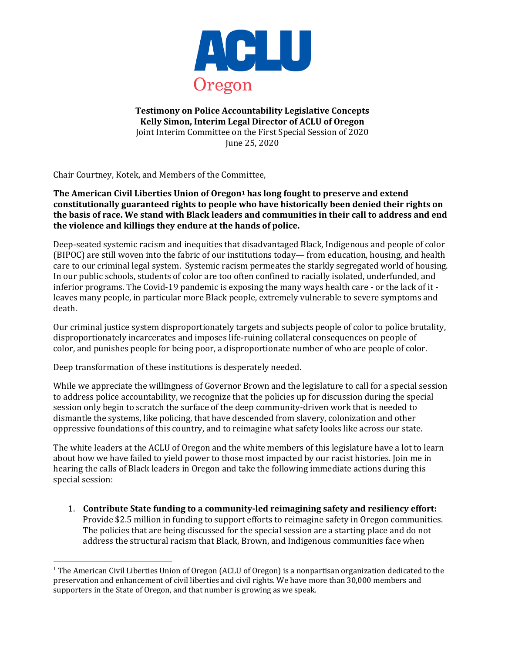

**Testimony on Police Accountability Legislative Concepts** Kelly Simon, Interim Legal Director of ACLU of Oregon Joint Interim Committee on the First Special Session of 2020 June 25, 2020

Chair Courtney, Kotek, and Members of the Committee,

**The American Civil Liberties Union of Oregon<sup>1</sup> has long fought to preserve and extend** constitutionally guaranteed rights to people who have historically been denied their rights on **the basis of race. We stand with Black leaders and communities in their call to address and end** the violence and killings they endure at the hands of police.

Deep-seated systemic racism and inequities that disadvantaged Black, Indigenous and people of color  $(BIPOC)$  are still woven into the fabric of our institutions today— from education, housing, and health care to our criminal legal system. Systemic racism permeates the starkly segregated world of housing. In our public schools, students of color are too often confined to racially isolated, underfunded, and inferior programs. The Covid-19 pandemic is exposing the many ways health care - or the lack of it leaves many people, in particular more Black people, extremely vulnerable to severe symptoms and death.

Our criminal justice system disproportionately targets and subjects people of color to police brutality, disproportionately incarcerates and imposes life-ruining collateral consequences on people of color, and punishes people for being poor, a disproportionate number of who are people of color.

Deep transformation of these institutions is desperately needed.

While we appreciate the willingness of Governor Brown and the legislature to call for a special session to address police accountability, we recognize that the policies up for discussion during the special session only begin to scratch the surface of the deep community-driven work that is needed to dismantle the systems, like policing, that have descended from slavery, colonization and other oppressive foundations of this country, and to reimagine what safety looks like across our state.

The white leaders at the ACLU of Oregon and the white members of this legislature have a lot to learn about how we have failed to yield power to those most impacted by our racist histories. Join me in hearing the calls of Black leaders in Oregon and take the following immediate actions during this special session:

1. Contribute State funding to a community-led reimagining safety and resiliency effort: Provide \$2.5 million in funding to support efforts to reimagine safety in Oregon communities. The policies that are being discussed for the special session are a starting place and do not address the structural racism that Black, Brown, and Indigenous communities face when

 $^1$  The American Civil Liberties Union of Oregon (ACLU of Oregon) is a nonpartisan organization dedicated to the preservation and enhancement of civil liberties and civil rights. We have more than 30,000 members and supporters in the State of Oregon, and that number is growing as we speak.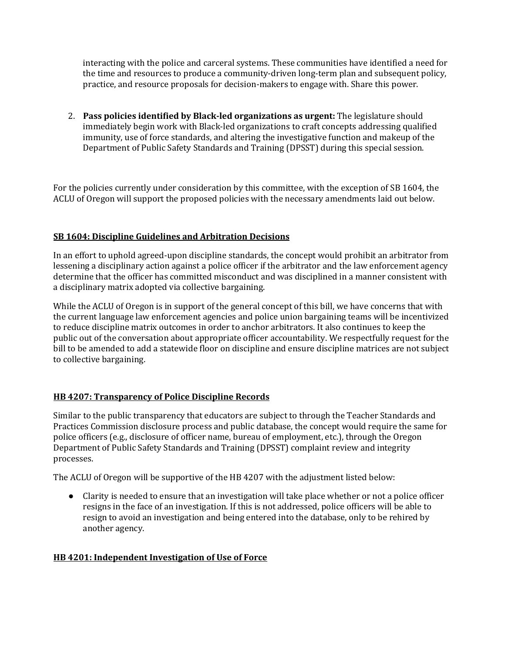interacting with the police and carceral systems. These communities have identified a need for the time and resources to produce a community-driven long-term plan and subsequent policy, practice, and resource proposals for decision-makers to engage with. Share this power.

2. **Pass policies identified by Black-led organizations as urgent:** The legislature should immediately begin work with Black-led organizations to craft concepts addressing qualified immunity, use of force standards, and altering the investigative function and makeup of the Department of Public Safety Standards and Training (DPSST) during this special session.

For the policies currently under consideration by this committee, with the exception of SB 1604, the ACLU of Oregon will support the proposed policies with the necessary amendments laid out below.

## **SB 1604: Discipline Guidelines and Arbitration Decisions**

In an effort to uphold agreed-upon discipline standards, the concept would prohibit an arbitrator from lessening a disciplinary action against a police officer if the arbitrator and the law enforcement agency determine that the officer has committed misconduct and was disciplined in a manner consistent with a disciplinary matrix adopted via collective bargaining.

While the ACLU of Oregon is in support of the general concept of this bill, we have concerns that with the current language law enforcement agencies and police union bargaining teams will be incentivized to reduce discipline matrix outcomes in order to anchor arbitrators. It also continues to keep the public out of the conversation about appropriate officer accountability. We respectfully request for the bill to be amended to add a statewide floor on discipline and ensure discipline matrices are not subject to collective bargaining.

### **HB 4207: Transparency of Police Discipline Records**

Similar to the public transparency that educators are subject to through the Teacher Standards and Practices Commission disclosure process and public database, the concept would require the same for police officers (e.g., disclosure of officer name, bureau of employment, etc.), through the Oregon Department of Public Safety Standards and Training (DPSST) complaint review and integrity processes.

The ACLU of Oregon will be supportive of the HB 4207 with the adjustment listed below:

• Clarity is needed to ensure that an investigation will take place whether or not a police officer resigns in the face of an investigation. If this is not addressed, police officers will be able to resign to avoid an investigation and being entered into the database, only to be rehired by another agency.

### **HB 4201: Independent Investigation of Use of Force**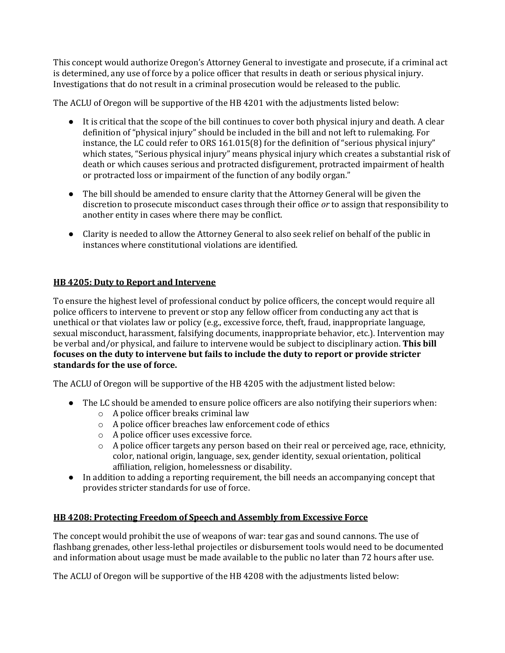This concept would authorize Oregon's Attorney General to investigate and prosecute, if a criminal act is determined, any use of force by a police officer that results in death or serious physical injury. Investigations that do not result in a criminal prosecution would be released to the public.

The ACLU of Oregon will be supportive of the HB 4201 with the adjustments listed below:

- It is critical that the scope of the bill continues to cover both physical injury and death. A clear definition of "physical injury" should be included in the bill and not left to rulemaking. For instance, the LC could refer to ORS 161.015(8) for the definition of "serious physical injury" which states, "Serious physical injury" means physical injury which creates a substantial risk of death or which causes serious and protracted disfigurement, protracted impairment of health or protracted loss or impairment of the function of any bodily organ."
- The bill should be amended to ensure clarity that the Attorney General will be given the discretion to prosecute misconduct cases through their office or to assign that responsibility to another entity in cases where there may be conflict.
- Clarity is needed to allow the Attorney General to also seek relief on behalf of the public in instances where constitutional violations are identified.

# **HB** 4205: Duty to Report and Intervene

To ensure the highest level of professional conduct by police officers, the concept would require all police officers to intervene to prevent or stop any fellow officer from conducting any act that is unethical or that violates law or policy (e.g., excessive force, theft, fraud, inappropriate language, sexual misconduct, harassment, falsifying documents, inappropriate behavior, etc.). Intervention may be verbal and/or physical, and failure to intervene would be subject to disciplinary action. This bill focuses on the duty to intervene but fails to include the duty to report or provide stricter standards for the use of force.

The ACLU of Oregon will be supportive of the HB 4205 with the adjustment listed below:

- The LC should be amended to ensure police officers are also notifying their superiors when:
	- $\circ$  A police officer breaks criminal law
	- $\circ$  A police officer breaches law enforcement code of ethics
	- $\circ$  A police officer uses excessive force.
	- $\circ$  A police officer targets any person based on their real or perceived age, race, ethnicity, color, national origin, language, sex, gender identity, sexual orientation, political affiliation, religion, homelessness or disability.
- In addition to adding a reporting requirement, the bill needs an accompanying concept that provides stricter standards for use of force.

## **HB 4208: Protecting Freedom of Speech and Assembly from Excessive Force**

The concept would prohibit the use of weapons of war: tear gas and sound cannons. The use of flashbang grenades, other less-lethal projectiles or disbursement tools would need to be documented and information about usage must be made available to the public no later than 72 hours after use.

The ACLU of Oregon will be supportive of the HB 4208 with the adjustments listed below: